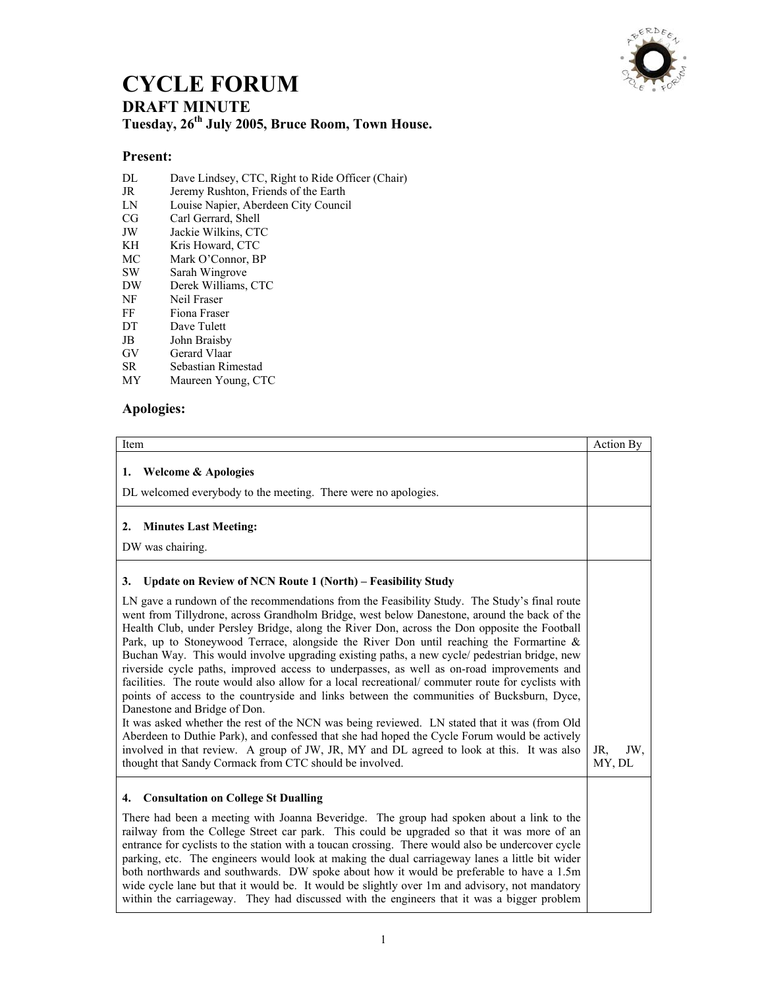

## **CYCLE FORUM DRAFT MINUTE Tuesday, 26th July 2005, Bruce Room, Town House.**

## **Present:**

- DL Dave Lindsey, CTC, Right to Ride Officer (Chair)
- JR Jeremy Rushton, Friends of the Earth<br>
LN Louise Napier, Aberdeen City Counci
- Louise Napier, Aberdeen City Council
- CG Carl Gerrard, Shell<br>JW Jackie Wilkins. CT
- JW Jackie Wilkins, CTC
- Kris Howard, CTC
- MC Mark O'Connor, BP
- SW Sarah Wingrove
- DW Derek Williams, CTC
- NF Neil Fraser
- FF Fiona Fraser
- DT Dave Tulett
- JB John Braisby
- GV Gerard Vlaar<br>SR Sebastian Rin
- Sebastian Rimestad
- MY Maureen Young, CTC

## **Apologies:**

| Item                                                                                                                                                                                                                                                                                                                                                                                                                                                                                                                                                                                                                                                                                                                                                                                                                                                                                                                                                                                                                                                                                                                                                                              | Action By            |
|-----------------------------------------------------------------------------------------------------------------------------------------------------------------------------------------------------------------------------------------------------------------------------------------------------------------------------------------------------------------------------------------------------------------------------------------------------------------------------------------------------------------------------------------------------------------------------------------------------------------------------------------------------------------------------------------------------------------------------------------------------------------------------------------------------------------------------------------------------------------------------------------------------------------------------------------------------------------------------------------------------------------------------------------------------------------------------------------------------------------------------------------------------------------------------------|----------------------|
| <b>Welcome &amp; Apologies</b><br>1.<br>DL welcomed everybody to the meeting. There were no apologies.                                                                                                                                                                                                                                                                                                                                                                                                                                                                                                                                                                                                                                                                                                                                                                                                                                                                                                                                                                                                                                                                            |                      |
| <b>Minutes Last Meeting:</b><br>2.<br>DW was chairing.                                                                                                                                                                                                                                                                                                                                                                                                                                                                                                                                                                                                                                                                                                                                                                                                                                                                                                                                                                                                                                                                                                                            |                      |
| Update on Review of NCN Route 1 (North) – Feasibility Study<br>3.                                                                                                                                                                                                                                                                                                                                                                                                                                                                                                                                                                                                                                                                                                                                                                                                                                                                                                                                                                                                                                                                                                                 |                      |
| LN gave a rundown of the recommendations from the Feasibility Study. The Study's final route<br>went from Tillydrone, across Grandholm Bridge, west below Danestone, around the back of the<br>Health Club, under Persley Bridge, along the River Don, across the Don opposite the Football<br>Park, up to Stoneywood Terrace, alongside the River Don until reaching the Formartine $\&$<br>Buchan Way. This would involve upgrading existing paths, a new cycle/ pedestrian bridge, new<br>riverside cycle paths, improved access to underpasses, as well as on-road improvements and<br>facilities. The route would also allow for a local recreational/ commuter route for cyclists with<br>points of access to the countryside and links between the communities of Bucksburn, Dyce,<br>Danestone and Bridge of Don.<br>It was asked whether the rest of the NCN was being reviewed. LN stated that it was (from Old<br>Aberdeen to Duthie Park), and confessed that she had hoped the Cycle Forum would be actively<br>involved in that review. A group of JW, JR, MY and DL agreed to look at this. It was also<br>thought that Sandy Cormack from CTC should be involved. | JR.<br>JW.<br>MY, DL |
| <b>Consultation on College St Dualling</b><br>4.                                                                                                                                                                                                                                                                                                                                                                                                                                                                                                                                                                                                                                                                                                                                                                                                                                                                                                                                                                                                                                                                                                                                  |                      |
| There had been a meeting with Joanna Beveridge. The group had spoken about a link to the<br>railway from the College Street car park. This could be upgraded so that it was more of an<br>entrance for cyclists to the station with a toucan crossing. There would also be undercover cycle<br>parking, etc. The engineers would look at making the dual carriageway lanes a little bit wider<br>both northwards and southwards. DW spoke about how it would be preferable to have a 1.5m<br>wide cycle lane but that it would be. It would be slightly over 1m and advisory, not mandatory<br>within the carriageway. They had discussed with the engineers that it was a bigger problem                                                                                                                                                                                                                                                                                                                                                                                                                                                                                         |                      |